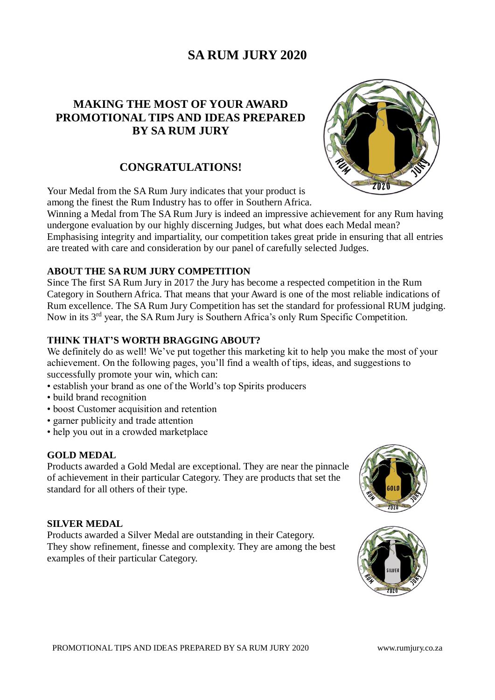# **MAKING THE MOST OF YOUR AWARD PROMOTIONAL TIPS AND IDEAS PREPARED BY SA RUM JURY**

# **CONGRATULATIONS!**

Your Medal from the SA Rum Jury indicates that your product is among the finest the Rum Industry has to offer in Southern Africa.

Winning a Medal from The SA Rum Jury is indeed an impressive achievement for any Rum having undergone evaluation by our highly discerning Judges, but what does each Medal mean? Emphasising integrity and impartiality, our competition takes great pride in ensuring that all entries are treated with care and consideration by our panel of carefully selected Judges.

# **ABOUT THE SA RUM JURY COMPETITION**

Since The first SA Rum Jury in 2017 the Jury has become a respected competition in the Rum Category in Southern Africa. That means that your Award is one of the most reliable indications of Rum excellence. The SA Rum Jury Competition has set the standard for professional RUM judging. Now in its 3<sup>rd</sup> year, the SA Rum Jury is Southern Africa's only Rum Specific Competition.

# **THINK THAT'S WORTH BRAGGING ABOUT?**

We definitely do as well! We've put together this marketing kit to help you make the most of your achievement. On the following pages, you'll find a wealth of tips, ideas, and suggestions to successfully promote your win, which can:

- establish your brand as one of the World's top Spirits producers
- build brand recognition
- boost Customer acquisition and retention
- garner publicity and trade attention
- help you out in a crowded marketplace

#### **GOLD MEDAL**

Products awarded a Gold Medal are exceptional. They are near the pinnacle of achievement in their particular Category. They are products that set the standard for all others of their type.

# **SILVER MEDAL**

Products awarded a Silver Medal are outstanding in their Category. They show refinement, finesse and complexity. They are among the best examples of their particular Category.



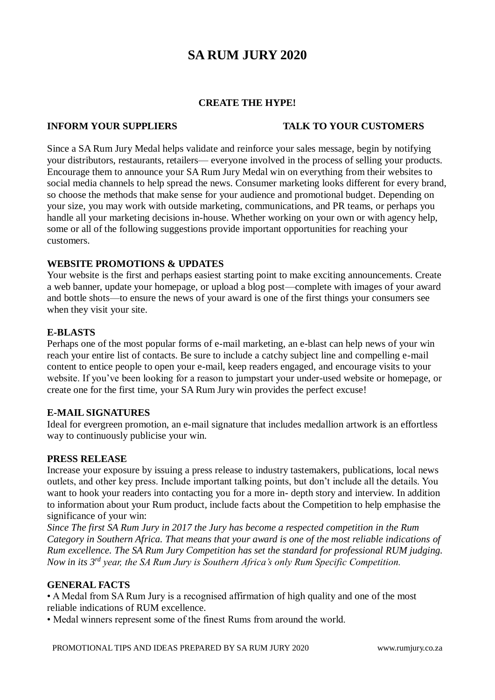# **CREATE THE HYPE!**

# **INFORM YOUR SUPPLIERS TALK TO YOUR CUSTOMERS**

Since a SA Rum Jury Medal helps validate and reinforce your sales message, begin by notifying your distributors, restaurants, retailers— everyone involved in the process of selling your products. Encourage them to announce your SA Rum Jury Medal win on everything from their websites to social media channels to help spread the news. Consumer marketing looks different for every brand, so choose the methods that make sense for your audience and promotional budget. Depending on your size, you may work with outside marketing, communications, and PR teams, or perhaps you handle all your marketing decisions in-house. Whether working on your own or with agency help, some or all of the following suggestions provide important opportunities for reaching your customers.

# **WEBSITE PROMOTIONS & UPDATES**

Your website is the first and perhaps easiest starting point to make exciting announcements. Create a web banner, update your homepage, or upload a blog post—complete with images of your award and bottle shots—to ensure the news of your award is one of the first things your consumers see when they visit your site.

# **E-BLASTS**

Perhaps one of the most popular forms of e-mail marketing, an e-blast can help news of your win reach your entire list of contacts. Be sure to include a catchy subject line and compelling e-mail content to entice people to open your e-mail, keep readers engaged, and encourage visits to your website. If you've been looking for a reason to jumpstart your under-used website or homepage, or create one for the first time, your SA Rum Jury win provides the perfect excuse!

# **E-MAIL SIGNATURES**

Ideal for evergreen promotion, an e-mail signature that includes medallion artwork is an effortless way to continuously publicise your win.

# **PRESS RELEASE**

Increase your exposure by issuing a press release to industry tastemakers, publications, local news outlets, and other key press. Include important talking points, but don't include all the details. You want to hook your readers into contacting you for a more in- depth story and interview. In addition to information about your Rum product, include facts about the Competition to help emphasise the significance of your win:

*Since The first SA Rum Jury in 2017 the Jury has become a respected competition in the Rum Category in Southern Africa. That means that your award is one of the most reliable indications of Rum excellence. The SA Rum Jury Competition has set the standard for professional RUM judging. Now in its 3rd year, the SA Rum Jury is Southern Africa's only Rum Specific Competition.*

# **GENERAL FACTS**

• A Medal from SA Rum Jury is a recognised affirmation of high quality and one of the most reliable indications of RUM excellence.

• Medal winners represent some of the finest Rums from around the world.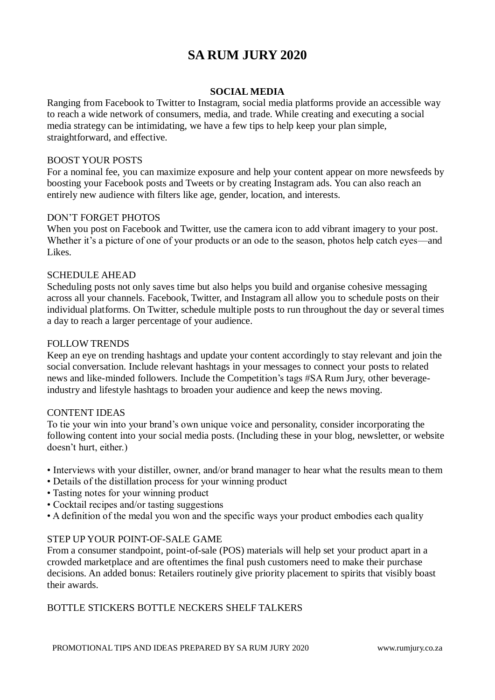# **SOCIAL MEDIA**

Ranging from Facebook to Twitter to Instagram, social media platforms provide an accessible way to reach a wide network of consumers, media, and trade. While creating and executing a social media strategy can be intimidating, we have a few tips to help keep your plan simple, straightforward, and effective.

# BOOST YOUR POSTS

For a nominal fee, you can maximize exposure and help your content appear on more newsfeeds by boosting your Facebook posts and Tweets or by creating Instagram ads. You can also reach an entirely new audience with filters like age, gender, location, and interests.

# DON'T FORGET PHOTOS

When you post on Facebook and Twitter, use the camera icon to add vibrant imagery to your post. Whether it's a picture of one of your products or an ode to the season, photos help catch eyes—and Likes.

# SCHEDULE AHEAD

Scheduling posts not only saves time but also helps you build and organise cohesive messaging across all your channels. Facebook, Twitter, and Instagram all allow you to schedule posts on their individual platforms. On Twitter, schedule multiple posts to run throughout the day or several times a day to reach a larger percentage of your audience.

# FOLLOW TRENDS

Keep an eye on trending hashtags and update your content accordingly to stay relevant and join the social conversation. Include relevant hashtags in your messages to connect your posts to related news and like-minded followers. Include the Competition's tags #SA Rum Jury, other beverageindustry and lifestyle hashtags to broaden your audience and keep the news moving.

# CONTENT IDEAS

To tie your win into your brand's own unique voice and personality, consider incorporating the following content into your social media posts. (Including these in your blog, newsletter, or website doesn't hurt, either.)

- Interviews with your distiller, owner, and/or brand manager to hear what the results mean to them
- Details of the distillation process for your winning product
- Tasting notes for your winning product
- Cocktail recipes and/or tasting suggestions
- A definition of the medal you won and the specific ways your product embodies each quality

# STEP UP YOUR POINT-OF-SALE GAME

From a consumer standpoint, point-of-sale (POS) materials will help set your product apart in a crowded marketplace and are oftentimes the final push customers need to make their purchase decisions. An added bonus: Retailers routinely give priority placement to spirits that visibly boast their awards.

# BOTTLE STICKERS BOTTLE NECKERS SHELF TALKERS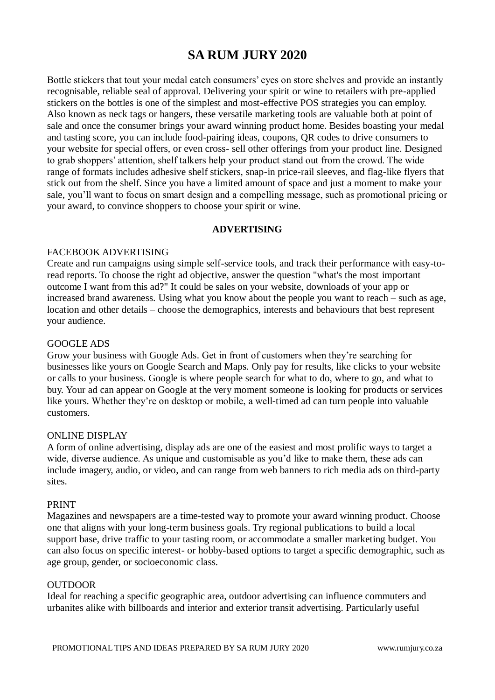Bottle stickers that tout your medal catch consumers' eyes on store shelves and provide an instantly recognisable, reliable seal of approval. Delivering your spirit or wine to retailers with pre-applied stickers on the bottles is one of the simplest and most-effective POS strategies you can employ. Also known as neck tags or hangers, these versatile marketing tools are valuable both at point of sale and once the consumer brings your award winning product home. Besides boasting your medal and tasting score, you can include food-pairing ideas, coupons, QR codes to drive consumers to your website for special offers, or even cross- sell other offerings from your product line. Designed to grab shoppers' attention, shelf talkers help your product stand out from the crowd. The wide range of formats includes adhesive shelf stickers, snap-in price-rail sleeves, and flag-like flyers that stick out from the shelf. Since you have a limited amount of space and just a moment to make your sale, you'll want to focus on smart design and a compelling message, such as promotional pricing or your award, to convince shoppers to choose your spirit or wine.

#### **ADVERTISING**

## FACEBOOK ADVERTISING

Create and run campaigns using simple self-service tools, and track their performance with easy-toread reports. To choose the right ad objective, answer the question "what's the most important outcome I want from this ad?" It could be sales on your website, downloads of your app or increased brand awareness. Using what you know about the people you want to reach – such as age, location and other details – choose the demographics, interests and behaviours that best represent your audience.

# GOOGLE ADS

Grow your business with Google Ads. Get in front of customers when they're searching for businesses like yours on Google Search and Maps. Only pay for results, like clicks to your website or calls to your business. Google is where people search for what to do, where to go, and what to buy. Your ad can appear on Google at the very moment someone is looking for products or services like yours. Whether they're on desktop or mobile, a well-timed ad can turn people into valuable customers.

## ONLINE DISPLAY

A form of online advertising, display ads are one of the easiest and most prolific ways to target a wide, diverse audience. As unique and customisable as you'd like to make them, these ads can include imagery, audio, or video, and can range from web banners to rich media ads on third-party sites.

#### PRINT

Magazines and newspapers are a time-tested way to promote your award winning product. Choose one that aligns with your long-term business goals. Try regional publications to build a local support base, drive traffic to your tasting room, or accommodate a smaller marketing budget. You can also focus on specific interest- or hobby-based options to target a specific demographic, such as age group, gender, or socioeconomic class.

#### OUTDOOR

Ideal for reaching a specific geographic area, outdoor advertising can influence commuters and urbanites alike with billboards and interior and exterior transit advertising. Particularly useful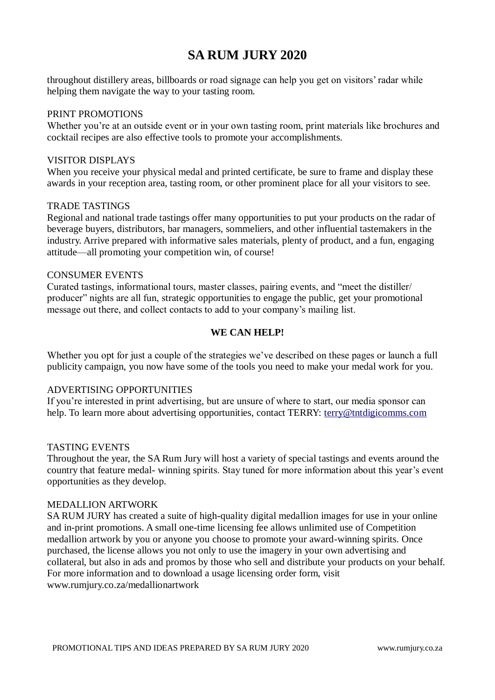throughout distillery areas, billboards or road signage can help you get on visitors' radar while helping them navigate the way to your tasting room.

## PRINT PROMOTIONS

Whether you're at an outside event or in your own tasting room, print materials like brochures and cocktail recipes are also effective tools to promote your accomplishments.

## VISITOR DISPLAYS

When you receive your physical medal and printed certificate, be sure to frame and display these awards in your reception area, tasting room, or other prominent place for all your visitors to see.

## TRADE TASTINGS

Regional and national trade tastings offer many opportunities to put your products on the radar of beverage buyers, distributors, bar managers, sommeliers, and other influential tastemakers in the industry. Arrive prepared with informative sales materials, plenty of product, and a fun, engaging attitude—all promoting your competition win, of course!

## CONSUMER EVENTS

Curated tastings, informational tours, master classes, pairing events, and "meet the distiller/ producer" nights are all fun, strategic opportunities to engage the public, get your promotional message out there, and collect contacts to add to your company's mailing list.

# **WE CAN HELP!**

Whether you opt for just a couple of the strategies we've described on these pages or launch a full publicity campaign, you now have some of the tools you need to make your medal work for you.

# ADVERTISING OPPORTUNITIES

If you're interested in print advertising, but are unsure of where to start, our media sponsor can help. To learn more about advertising opportunities, contact TERRY: [terry@tntdigicomms.com](mailto:terry@tntdigicomms.com)

#### TASTING EVENTS

Throughout the year, the SA Rum Jury will host a variety of special tastings and events around the country that feature medal- winning spirits. Stay tuned for more information about this year's event opportunities as they develop.

#### MEDALLION ARTWORK

SA RUM JURY has created a suite of high-quality digital medallion images for use in your online and in-print promotions. A small one-time licensing fee allows unlimited use of Competition medallion artwork by you or anyone you choose to promote your award-winning spirits. Once purchased, the license allows you not only to use the imagery in your own advertising and collateral, but also in ads and promos by those who sell and distribute your products on your behalf. For more information and to download a usage licensing order form, visit www.rumjury.co.za/medallionartwork